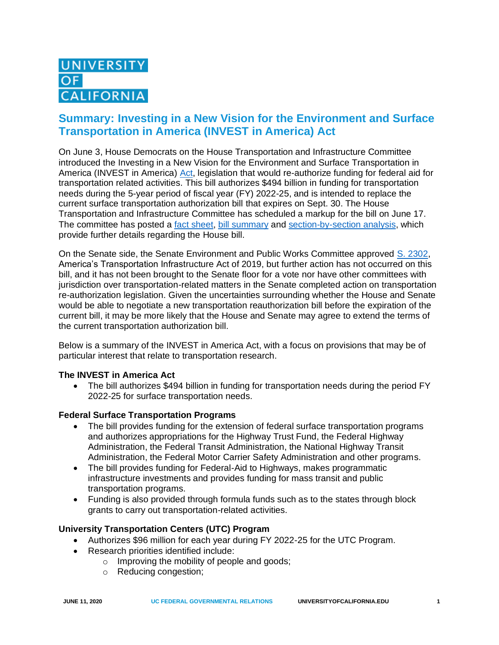# **Summary: Investing in a New Vision for the Environment and Surface Transportation in America (INVEST in America) Act**

On June 3, House Democrats on the House Transportation and Infrastructure Committee introduced the Investing in a New Vision for the Environment and Surface Transportation in America (INVEST in America) [Act,](https://transportation.house.gov/imo/media/doc/Final%20Bill%20Text%20of%20the%20INVEST%20in%20America%20Act.pdf) legislation that would re-authorize funding for federal aid for transportation related activities. This bill authorizes \$494 billion in funding for transportation needs during the 5-year period of fiscal year (FY) 2022-25, and is intended to replace the current surface transportation authorization bill that expires on Sept. 30. The House Transportation and Infrastructure Committee has scheduled a markup for the bill on June 17. The committee has posted a [fact sheet,](https://transportation.house.gov/imo/media/doc/2020%20INVEST%20In%20America%20Fact%20Sheet.pdf) bill [summary](https://transportation.house.gov/imo/media/doc/2020%20INVEST%20in%20America%20Bill%20Summary.pdf) and [section-by-section analysis,](https://transportation.house.gov/imo/media/doc/2020%20INVEST%20in%20America%20Act%20Section-by-Section%20UPDATED.pdf) which provide further details regarding the House bill.

On the Senate side, the Senate Environment and Public Works Committee approved [S. 2302,](https://www.congress.gov/116/crpt/srpt200/CRPT-116srpt200.pdf) America's Transportation Infrastructure Act of 2019, but further action has not occurred on this bill, and it has not been brought to the Senate floor for a vote nor have other committees with jurisdiction over transportation-related matters in the Senate completed action on transportation re-authorization legislation. Given the uncertainties surrounding whether the House and Senate would be able to negotiate a new transportation reauthorization bill before the expiration of the current bill, it may be more likely that the House and Senate may agree to extend the terms of the current transportation authorization bill.

Below is a summary of the INVEST in America Act, with a focus on provisions that may be of particular interest that relate to transportation research.

# **The INVEST in America Act**

• The bill authorizes \$494 billion in funding for transportation needs during the period FY 2022-25 for surface transportation needs.

#### **Federal Surface Transportation Programs**

- The bill provides funding for the extension of federal surface transportation programs and authorizes appropriations for the Highway Trust Fund, the Federal Highway Administration, the Federal Transit Administration, the National Highway Transit Administration, the Federal Motor Carrier Safety Administration and other programs.
- The bill provides funding for Federal-Aid to Highways, makes programmatic infrastructure investments and provides funding for mass transit and public transportation programs.
- Funding is also provided through formula funds such as to the states through block grants to carry out transportation-related activities.

# **University Transportation Centers (UTC) Program**

- Authorizes \$96 million for each year during FY 2022-25 for the UTC Program.
- Research priorities identified include:
	- o Improving the mobility of people and goods;
		- o Reducing congestion;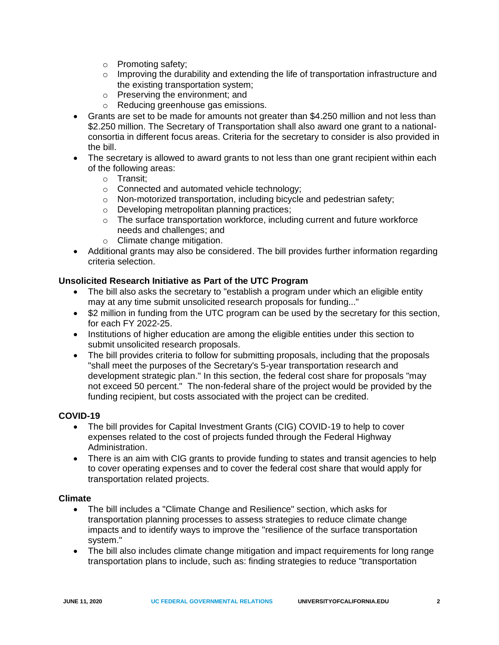- o Promoting safety;
- $\circ$  Improving the durability and extending the life of transportation infrastructure and the existing transportation system;
- o Preserving the environment; and
- o Reducing greenhouse gas emissions.
- Grants are set to be made for amounts not greater than \$4.250 million and not less than \$2.250 million. The Secretary of Transportation shall also award one grant to a nationalconsortia in different focus areas. Criteria for the secretary to consider is also provided in the bill.
- The secretary is allowed to award grants to not less than one grant recipient within each of the following areas:
	- o Transit;
	- o Connected and automated vehicle technology;
	- o Non-motorized transportation, including bicycle and pedestrian safety;
	- o Developing metropolitan planning practices;
	- $\circ$  The surface transportation workforce, including current and future workforce needs and challenges; and
	- o Climate change mitigation.
- Additional grants may also be considered. The bill provides further information regarding criteria selection.

# **Unsolicited Research Initiative as Part of the UTC Program**

- The bill also asks the secretary to "establish a program under which an eligible entity may at any time submit unsolicited research proposals for funding..."
- \$2 million in funding from the UTC program can be used by the secretary for this section, for each FY 2022-25.
- Institutions of higher education are among the eligible entities under this section to submit unsolicited research proposals.
- The bill provides criteria to follow for submitting proposals, including that the proposals "shall meet the purposes of the Secretary's 5-year transportation research and development strategic plan." In this section, the federal cost share for proposals "may not exceed 50 percent." The non-federal share of the project would be provided by the funding recipient, but costs associated with the project can be credited.

# **COVID-19**

- The bill provides for Capital Investment Grants (CIG) COVID-19 to help to cover expenses related to the cost of projects funded through the Federal Highway Administration.
- There is an aim with CIG grants to provide funding to states and transit agencies to help to cover operating expenses and to cover the federal cost share that would apply for transportation related projects.

#### **Climate**

- The bill includes a "Climate Change and Resilience" section, which asks for transportation planning processes to assess strategies to reduce climate change impacts and to identify ways to improve the "resilience of the surface transportation system."
- The bill also includes climate change mitigation and impact requirements for long range transportation plans to include, such as: finding strategies to reduce "transportation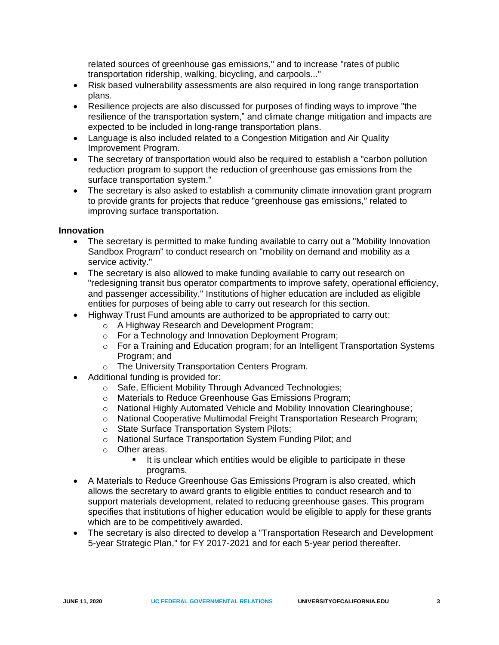related sources of greenhouse gas emissions," and to increase "rates of public transportation ridership, walking, bicycling, and carpools..."

- Risk based vulnerability assessments are also required in long range transportation plans.
- Resilience projects are also discussed for purposes of finding ways to improve "the resilience of the transportation system," and climate change mitigation and impacts are expected to be included in long-range transportation plans.
- Language is also included related to a Congestion Mitigation and Air Quality Improvement Program.
- The secretary of transportation would also be required to establish a "carbon pollution" reduction program to support the reduction of greenhouse gas emissions from the surface transportation system."
- The secretary is also asked to establish a community climate innovation grant program to provide grants for projects that reduce "greenhouse gas emissions," related to improving surface transportation.

### **Innovation**

- The secretary is permitted to make funding available to carry out a "Mobility Innovation Sandbox Program" to conduct research on "mobility on demand and mobility as a service activity."
- The secretary is also allowed to make funding available to carry out research on "redesigning transit bus operator compartments to improve safety, operational efficiency, and passenger accessibility." Institutions of higher education are included as eligible entities for purposes of being able to carry out research for this section.
- Highway Trust Fund amounts are authorized to be appropriated to carry out:
	- o A Highway Research and Development Program;
	- o For a Technology and Innovation Deployment Program;
	- o For a Training and Education program; for an Intelligent Transportation Systems Program; and
	- o The University Transportation Centers Program.
- Additional funding is provided for:
	- o Safe, Efficient Mobility Through Advanced Technologies;
	- o Materials to Reduce Greenhouse Gas Emissions Program;
	- o National Highly Automated Vehicle and Mobility Innovation Clearinghouse;
	- o National Cooperative Multimodal Freight Transportation Research Program;
	- o State Surface Transportation System Pilots;
	- o National Surface Transportation System Funding Pilot; and
	- o Other areas.
		- It is unclear which entities would be eligible to participate in these programs.
- A Materials to Reduce Greenhouse Gas Emissions Program is also created, which allows the secretary to award grants to eligible entities to conduct research and to support materials development, related to reducing greenhouse gases. This program specifies that institutions of higher education would be eligible to apply for these grants which are to be competitively awarded.
- The secretary is also directed to develop a "Transportation Research and Development 5-year Strategic Plan," for FY 2017-2021 and for each 5-year period thereafter.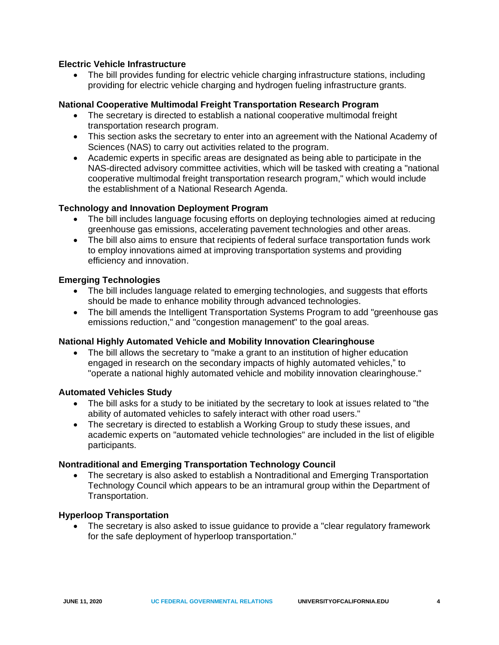# **Electric Vehicle Infrastructure**

• The bill provides funding for electric vehicle charging infrastructure stations, including providing for electric vehicle charging and hydrogen fueling infrastructure grants.

# **National Cooperative Multimodal Freight Transportation Research Program**

- The secretary is directed to establish a national cooperative multimodal freight transportation research program.
- This section asks the secretary to enter into an agreement with the National Academy of Sciences (NAS) to carry out activities related to the program.
- Academic experts in specific areas are designated as being able to participate in the NAS-directed advisory committee activities, which will be tasked with creating a "national cooperative multimodal freight transportation research program," which would include the establishment of a National Research Agenda.

# **Technology and Innovation Deployment Program**

- The bill includes language focusing efforts on deploying technologies aimed at reducing greenhouse gas emissions, accelerating pavement technologies and other areas.
- The bill also aims to ensure that recipients of federal surface transportation funds work to employ innovations aimed at improving transportation systems and providing efficiency and innovation.

### **Emerging Technologies**

- The bill includes language related to emerging technologies, and suggests that efforts should be made to enhance mobility through advanced technologies.
- The bill amends the Intelligent Transportation Systems Program to add "greenhouse gas emissions reduction," and "congestion management" to the goal areas.

#### **National Highly Automated Vehicle and Mobility Innovation Clearinghouse**

• The bill allows the secretary to "make a grant to an institution of higher education engaged in research on the secondary impacts of highly automated vehicles," to "operate a national highly automated vehicle and mobility innovation clearinghouse."

#### **Automated Vehicles Study**

- The bill asks for a study to be initiated by the secretary to look at issues related to "the ability of automated vehicles to safely interact with other road users."
- The secretary is directed to establish a Working Group to study these issues, and academic experts on "automated vehicle technologies" are included in the list of eligible participants.

#### **Nontraditional and Emerging Transportation Technology Council**

• The secretary is also asked to establish a Nontraditional and Emerging Transportation Technology Council which appears to be an intramural group within the Department of Transportation.

#### **Hyperloop Transportation**

• The secretary is also asked to issue guidance to provide a "clear regulatory framework for the safe deployment of hyperloop transportation."